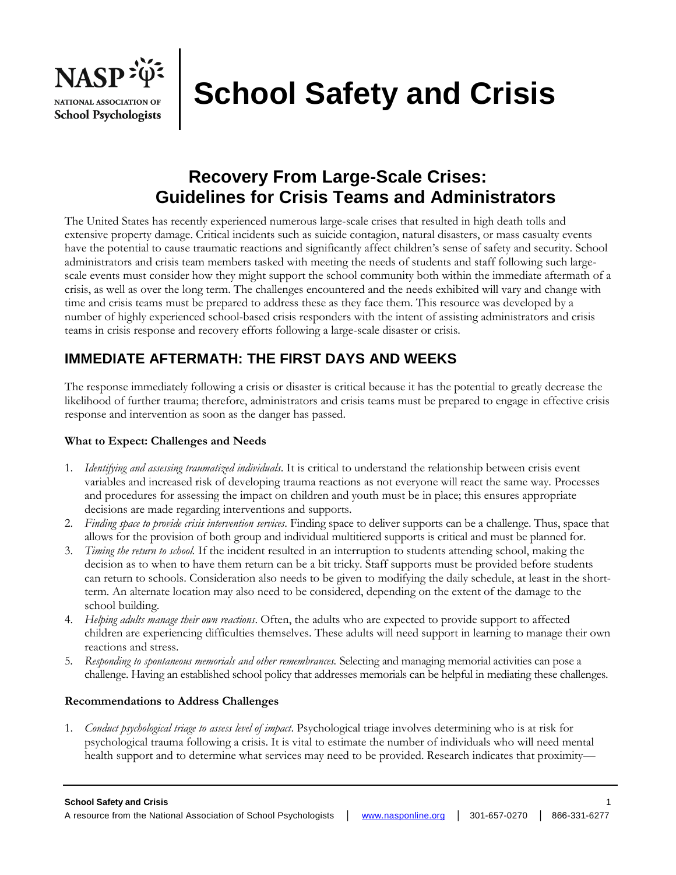

# **School Safety and Crisis**

# **Recovery From Large-Scale Crises: Guidelines for Crisis Teams and Administrators**

The United States has recently experienced numerous large-scale crises that resulted in high death tolls and extensive property damage. Critical incidents such as suicide contagion, natural disasters, or mass casualty events have the potential to cause traumatic reactions and significantly affect children's sense of safety and security. School administrators and crisis team members tasked with meeting the needs of students and staff following such largescale events must consider how they might support the school community both within the immediate aftermath of a crisis, as well as over the long term. The challenges encountered and the needs exhibited will vary and change with time and crisis teams must be prepared to address these as they face them. This resource was developed by a number of highly experienced school-based crisis responders with the intent of assisting administrators and crisis teams in crisis response and recovery efforts following a large-scale disaster or crisis.

# **IMMEDIATE AFTERMATH: THE FIRST DAYS AND WEEKS**

The response immediately following a crisis or disaster is critical because it has the potential to greatly decrease the likelihood of further trauma; therefore, administrators and crisis teams must be prepared to engage in effective crisis response and intervention as soon as the danger has passed.

# **What to Expect: Challenges and Needs**

- 1. *Identifying and assessing traumatized individuals*. It is critical to understand the relationship between crisis event variables and increased risk of developing trauma reactions as not everyone will react the same way. Processes and procedures for assessing the impact on children and youth must be in place; this ensures appropriate decisions are made regarding interventions and supports.
- 2. *Finding space to provide crisis intervention services*. Finding space to deliver supports can be a challenge. Thus, space that allows for the provision of both group and individual multitiered supports is critical and must be planned for.
- 3. *Timing the return to school.* If the incident resulted in an interruption to students attending school, making the decision as to when to have them return can be a bit tricky. Staff supports must be provided before students can return to schools. Consideration also needs to be given to modifying the daily schedule, at least in the shortterm. An alternate location may also need to be considered, depending on the extent of the damage to the school building.
- 4. *Helping adults manage their own reactions*. Often, the adults who are expected to provide support to affected children are experiencing difficulties themselves. These adults will need support in learning to manage their own reactions and stress.
- 5. *Responding to spontaneous memorials and other remembrances.* Selecting and managing memorial activities can pose a challenge. Having an established school policy that addresses memorials can be helpful in mediating these challenges.

## **Recommendations to Address Challenges**

1. *Conduct psychological triage to assess level of impact*. Psychological triage involves determining who is at risk for psychological trauma following a crisis. It is vital to estimate the number of individuals who will need mental health support and to determine what services may need to be provided. Research indicates that proximity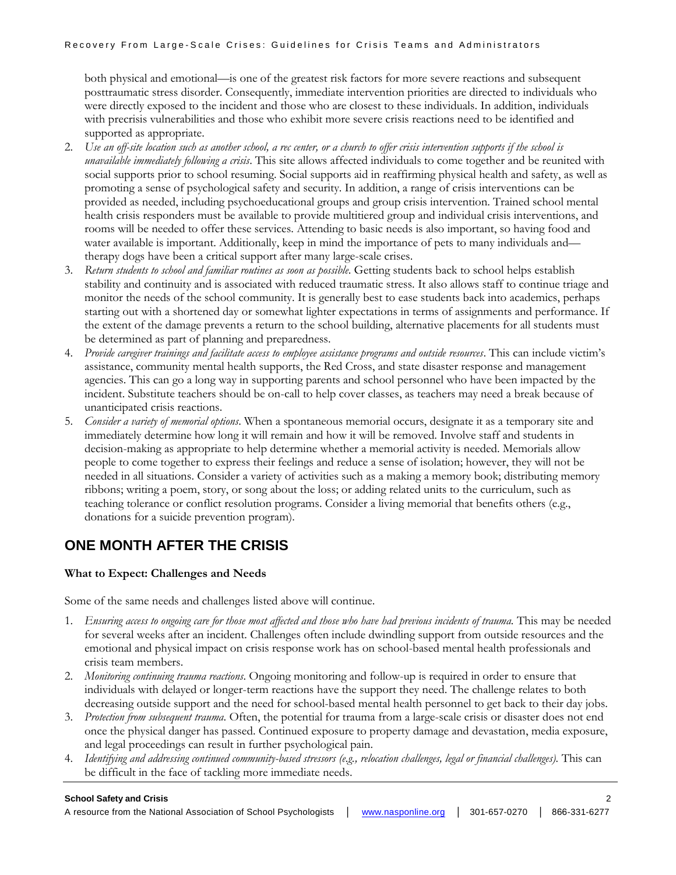both physical and emotional—is one of the greatest risk factors for more severe reactions and subsequent posttraumatic stress disorder. Consequently, immediate intervention priorities are directed to individuals who were directly exposed to the incident and those who are closest to these individuals. In addition, individuals with precrisis vulnerabilities and those who exhibit more severe crisis reactions need to be identified and supported as appropriate.

- 2. *Use an off-site location such as another school, a rec center, or a church to offer crisis intervention supports if the school is unavailable immediately following a crisis*. This site allows affected individuals to come together and be reunited with social supports prior to school resuming. Social supports aid in reaffirming physical health and safety, as well as promoting a sense of psychological safety and security. In addition, a range of crisis interventions can be provided as needed, including psychoeducational groups and group crisis intervention. Trained school mental health crisis responders must be available to provide multitiered group and individual crisis interventions, and rooms will be needed to offer these services. Attending to basic needs is also important, so having food and water available is important. Additionally, keep in mind the importance of pets to many individuals and therapy dogs have been a critical support after many large-scale crises.
- 3. *Return students to school and familiar routines as soon as possible*. Getting students back to school helps establish stability and continuity and is associated with reduced traumatic stress. It also allows staff to continue triage and monitor the needs of the school community. It is generally best to ease students back into academics, perhaps starting out with a shortened day or somewhat lighter expectations in terms of assignments and performance. If the extent of the damage prevents a return to the school building, alternative placements for all students must be determined as part of planning and preparedness.
- 4. *Provide caregiver trainings and facilitate access to employee assistance programs and outside resources*. This can include victim's assistance, community mental health supports, the Red Cross, and state disaster response and management agencies. This can go a long way in supporting parents and school personnel who have been impacted by the incident. Substitute teachers should be on-call to help cover classes, as teachers may need a break because of unanticipated crisis reactions.
- 5. *Consider a variety of memorial options*. When a spontaneous memorial occurs, designate it as a temporary site and immediately determine how long it will remain and how it will be removed. Involve staff and students in decision-making as appropriate to help determine whether a memorial activity is needed. Memorials allow people to come together to express their feelings and reduce a sense of isolation; however, they will not be needed in all situations. Consider a variety of activities such as a making a memory book; distributing memory ribbons; writing a poem, story, or song about the loss; or adding related units to the curriculum, such as teaching tolerance or conflict resolution programs. Consider a living memorial that benefits others (e.g., donations for a suicide prevention program).

# **ONE MONTH AFTER THE CRISIS**

## **What to Expect: Challenges and Needs**

Some of the same needs and challenges listed above will continue.

- 1. *Ensuring access to ongoing care for those most affected and those who have had previous incidents of trauma.* This may be needed for several weeks after an incident. Challenges often include dwindling support from outside resources and the emotional and physical impact on crisis response work has on school-based mental health professionals and crisis team members.
- 2. *Monitoring continuing trauma reactions*. Ongoing monitoring and follow-up is required in order to ensure that individuals with delayed or longer-term reactions have the support they need. The challenge relates to both decreasing outside support and the need for school-based mental health personnel to get back to their day jobs.
- 3. *Protection from subsequent trauma*. Often, the potential for trauma from a large-scale crisis or disaster does not end once the physical danger has passed. Continued exposure to property damage and devastation, media exposure, and legal proceedings can result in further psychological pain.
- 4. *Identifying and addressing continued community-based stressors (e.g., relocation challenges, legal or financial challenges).* This can be difficult in the face of tackling more immediate needs.

#### **School Safety and Crisis** 2

A resource from the National Association of School Psychologists │ [www.nasponline.org](http://www.nasponline.org/) │ 301-657-0270 │ 866-331-6277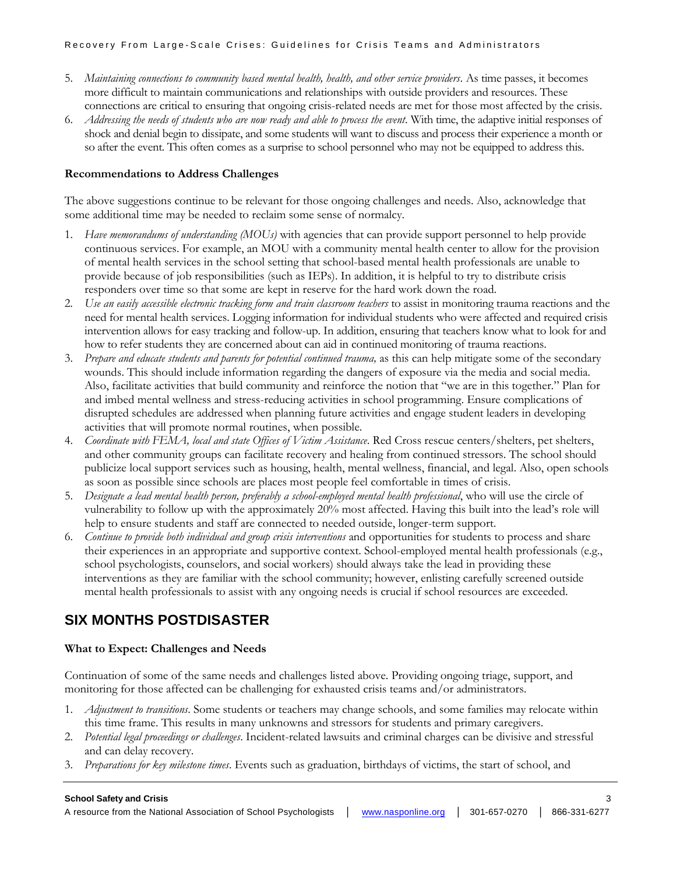#### Recovery From Large-Scale Crises: Guidelines for Crisis Teams and Administrators

- 5. *Maintaining connections to community based mental health, health, and other service providers*. As time passes, it becomes more difficult to maintain communications and relationships with outside providers and resources. These connections are critical to ensuring that ongoing crisis-related needs are met for those most affected by the crisis.
- 6. *Addressing the needs of students who are now ready and able to process the event*. With time, the adaptive initial responses of shock and denial begin to dissipate, and some students will want to discuss and process their experience a month or so after the event. This often comes as a surprise to school personnel who may not be equipped to address this.

## **Recommendations to Address Challenges**

The above suggestions continue to be relevant for those ongoing challenges and needs. Also, acknowledge that some additional time may be needed to reclaim some sense of normalcy.

- 1. *Have memorandums of understanding (MOUs)* with agencies that can provide support personnel to help provide continuous services. For example, an MOU with a community mental health center to allow for the provision of mental health services in the school setting that school-based mental health professionals are unable to provide because of job responsibilities (such as IEPs). In addition, it is helpful to try to distribute crisis responders over time so that some are kept in reserve for the hard work down the road.
- 2. Use an easily accessible electronic tracking form and train classroom teachers to assist in monitoring trauma reactions and the need for mental health services. Logging information for individual students who were affected and required crisis intervention allows for easy tracking and follow-up. In addition, ensuring that teachers know what to look for and how to refer students they are concerned about can aid in continued monitoring of trauma reactions.
- 3. *Prepare and educate students and parents for potential continued trauma,* as this can help mitigate some of the secondary wounds. This should include information regarding the dangers of exposure via the media and social media. Also, facilitate activities that build community and reinforce the notion that "we are in this together." Plan for and imbed mental wellness and stress-reducing activities in school programming. Ensure complications of disrupted schedules are addressed when planning future activities and engage student leaders in developing activities that will promote normal routines, when possible.
- 4. *Coordinate with FEMA, local and state Offices of Victim Assistance*. Red Cross rescue centers/shelters, pet shelters, and other community groups can facilitate recovery and healing from continued stressors. The school should publicize local support services such as housing, health, mental wellness, financial, and legal. Also, open schools as soon as possible since schools are places most people feel comfortable in times of crisis.
- 5. *Designate a lead mental health person, preferably a school-employed mental health professional*, who will use the circle of vulnerability to follow up with the approximately 20% most affected. Having this built into the lead's role will help to ensure students and staff are connected to needed outside, longer-term support.
- 6. *Continue to provide both individual and group crisis interventions* and opportunities for students to process and share their experiences in an appropriate and supportive context. School-employed mental health professionals (e.g., school psychologists, counselors, and social workers) should always take the lead in providing these interventions as they are familiar with the school community; however, enlisting carefully screened outside mental health professionals to assist with any ongoing needs is crucial if school resources are exceeded.

# **SIX MONTHS POSTDISASTER**

## **What to Expect: Challenges and Needs**

Continuation of some of the same needs and challenges listed above. Providing ongoing triage, support, and monitoring for those affected can be challenging for exhausted crisis teams and/or administrators.

- 1. *Adjustment to transitions*. Some students or teachers may change schools, and some families may relocate within this time frame. This results in many unknowns and stressors for students and primary caregivers.
- 2. *Potential legal proceedings or challenges*. Incident-related lawsuits and criminal charges can be divisive and stressful and can delay recovery.
- 3. *Preparations for key milestone times*. Events such as graduation, birthdays of victims, the start of school, and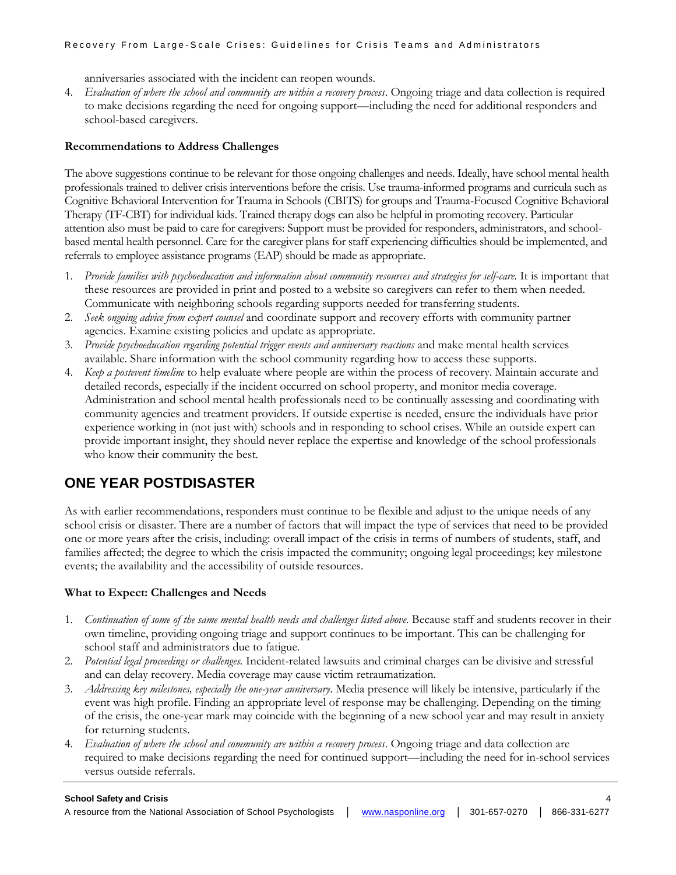#### Recovery From Large-Scale Crises: Guidelines for Crisis Teams and Administrators

anniversaries associated with the incident can reopen wounds.

4. *Evaluation of where the school and community are within a recovery process*. Ongoing triage and data collection is required to make decisions regarding the need for ongoing support—including the need for additional responders and school-based caregivers.

## **Recommendations to Address Challenges**

The above suggestions continue to be relevant for those ongoing challenges and needs. Ideally, have school mental health professionals trained to deliver crisis interventions before the crisis. Use trauma-informed programs and curricula such as Cognitive Behavioral Intervention for Trauma in Schools (CBITS) for groups and Trauma-Focused Cognitive Behavioral Therapy (TF-CBT) for individual kids. Trained therapy dogs can also be helpful in promoting recovery. Particular attention also must be paid to care for caregivers: Support must be provided for responders, administrators, and schoolbased mental health personnel. Care for the caregiver plans for staff experiencing difficulties should be implemented, and referrals to employee assistance programs (EAP) should be made as appropriate.

- 1. *Provide families with psychoeducation and information about community resources and strategies for self-care.* It is important that these resources are provided in print and posted to a website so caregivers can refer to them when needed. Communicate with neighboring schools regarding supports needed for transferring students.
- 2. *Seek ongoing advice from expert counsel* and coordinate support and recovery efforts with community partner agencies. Examine existing policies and update as appropriate.
- 3. *Provide psychoeducation regarding potential trigger events and anniversary reactions* and make mental health services available. Share information with the school community regarding how to access these supports.
- 4. *Keep a postevent timeline* to help evaluate where people are within the process of recovery. Maintain accurate and detailed records, especially if the incident occurred on school property, and monitor media coverage. Administration and school mental health professionals need to be continually assessing and coordinating with community agencies and treatment providers. If outside expertise is needed, ensure the individuals have prior experience working in (not just with) schools and in responding to school crises. While an outside expert can provide important insight, they should never replace the expertise and knowledge of the school professionals who know their community the best.

# **ONE YEAR POSTDISASTER**

As with earlier recommendations, responders must continue to be flexible and adjust to the unique needs of any school crisis or disaster. There are a number of factors that will impact the type of services that need to be provided one or more years after the crisis, including: overall impact of the crisis in terms of numbers of students, staff, and families affected; the degree to which the crisis impacted the community; ongoing legal proceedings; key milestone events; the availability and the accessibility of outside resources.

# **What to Expect: Challenges and Needs**

- 1. *Continuation of some of the same mental health needs and challenges listed above.* Because staff and students recover in their own timeline, providing ongoing triage and support continues to be important. This can be challenging for school staff and administrators due to fatigue.
- 2. *Potential legal proceedings or challenges.* Incident-related lawsuits and criminal charges can be divisive and stressful and can delay recovery. Media coverage may cause victim retraumatization.
- 3. *Addressing key milestones, especially the one-year anniversary*. Media presence will likely be intensive, particularly if the event was high profile. Finding an appropriate level of response may be challenging. Depending on the timing of the crisis, the one-year mark may coincide with the beginning of a new school year and may result in anxiety for returning students.
- 4. *Evaluation of where the school and community are within a recovery process*. Ongoing triage and data collection are required to make decisions regarding the need for continued support—including the need for in-school services versus outside referrals.

#### **School Safety and Crisis** 4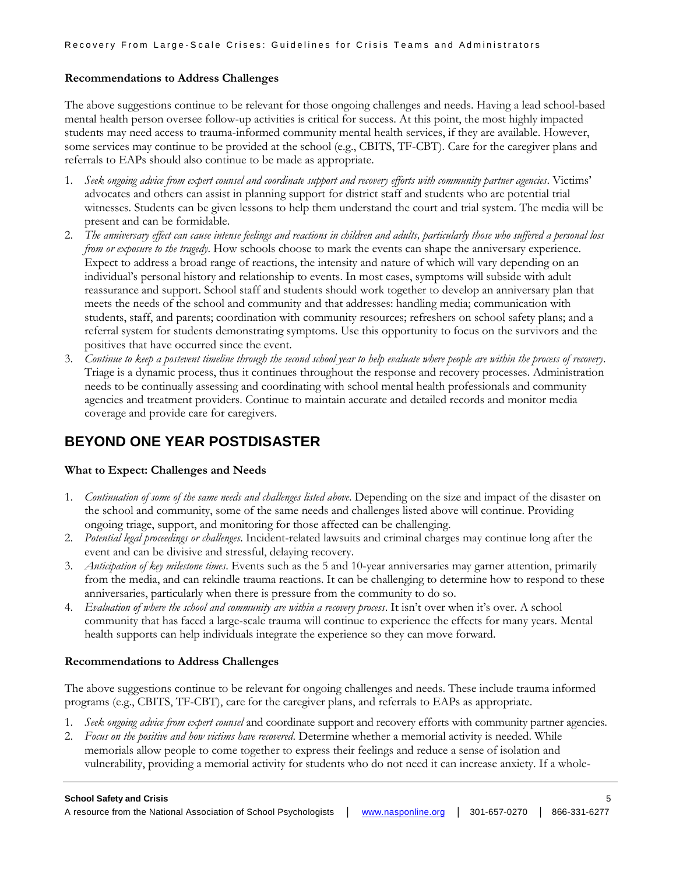## **Recommendations to Address Challenges**

The above suggestions continue to be relevant for those ongoing challenges and needs. Having a lead school-based mental health person oversee follow-up activities is critical for success. At this point, the most highly impacted students may need access to trauma-informed community mental health services, if they are available. However, some services may continue to be provided at the school (e.g., CBITS, TF-CBT). Care for the caregiver plans and referrals to EAPs should also continue to be made as appropriate.

- 1. *Seek ongoing advice from expert counsel and coordinate support and recovery efforts with community partner agencies*. Victims' advocates and others can assist in planning support for district staff and students who are potential trial witnesses. Students can be given lessons to help them understand the court and trial system. The media will be present and can be formidable.
- 2. *The anniversary effect can cause intense feelings and reactions in children and adults, particularly those who suffered a personal loss from or exposure to the tragedy*. How schools choose to mark the events can shape the anniversary experience. Expect to address a broad range of reactions, the intensity and nature of which will vary depending on an individual's personal history and relationship to events. In most cases, symptoms will subside with adult reassurance and support. School staff and students should work together to develop an anniversary plan that meets the needs of the school and community and that addresses: handling media; communication with students, staff, and parents; coordination with community resources; refreshers on school safety plans; and a referral system for students demonstrating symptoms. Use this opportunity to focus on the survivors and the positives that have occurred since the event.
- 3. *Continue to keep a postevent timeline through the second school year to help evaluate where people are within the process of recovery*. Triage is a dynamic process, thus it continues throughout the response and recovery processes. Administration needs to be continually assessing and coordinating with school mental health professionals and community agencies and treatment providers. Continue to maintain accurate and detailed records and monitor media coverage and provide care for caregivers.

# **BEYOND ONE YEAR POSTDISASTER**

## **What to Expect: Challenges and Needs**

- 1. *Continuation of some of the same needs and challenges listed above*. Depending on the size and impact of the disaster on the school and community, some of the same needs and challenges listed above will continue. Providing ongoing triage, support, and monitoring for those affected can be challenging.
- 2. *Potential legal proceedings or challenges*. Incident-related lawsuits and criminal charges may continue long after the event and can be divisive and stressful, delaying recovery.
- 3. *Anticipation of key milestone times*. Events such as the 5 and 10-year anniversaries may garner attention, primarily from the media, and can rekindle trauma reactions. It can be challenging to determine how to respond to these anniversaries, particularly when there is pressure from the community to do so.
- 4. *Evaluation of where the school and community are within a recovery process*. It isn't over when it's over. A school community that has faced a large-scale trauma will continue to experience the effects for many years. Mental health supports can help individuals integrate the experience so they can move forward.

## **Recommendations to Address Challenges**

The above suggestions continue to be relevant for ongoing challenges and needs. These include trauma informed programs (e.g., CBITS, TF-CBT), care for the caregiver plans, and referrals to EAPs as appropriate.

- 1. *Seek ongoing advice from expert counsel* and coordinate support and recovery efforts with community partner agencies.
- 2. *Focus on the positive and how victims have recovered*. Determine whether a memorial activity is needed. While memorials allow people to come together to express their feelings and reduce a sense of isolation and vulnerability, providing a memorial activity for students who do not need it can increase anxiety. If a whole-